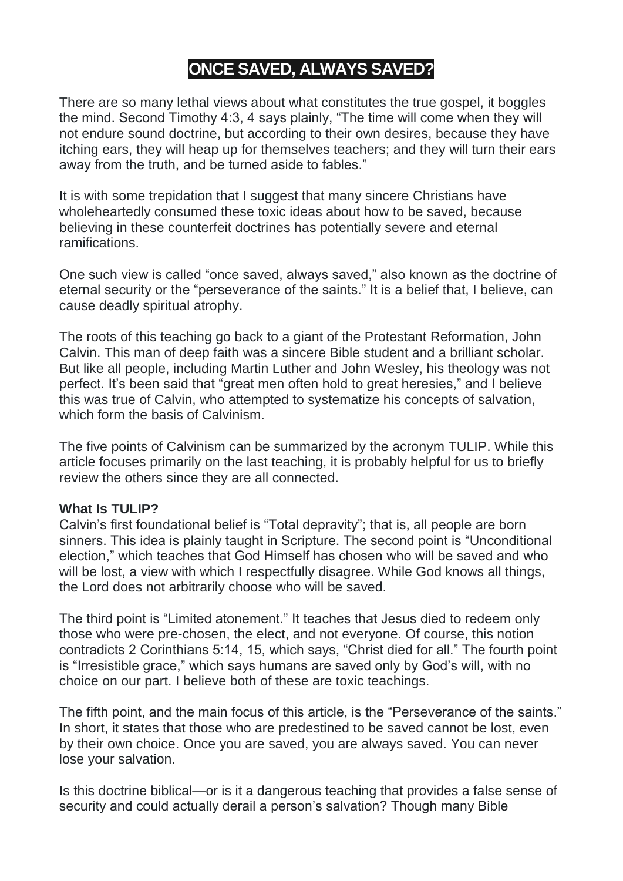# **ONCE SAVED, ALWAYS SAVED?**

There are so many lethal views about what constitutes the true gospel, it boggles the mind. Second Timothy 4:3, 4 says plainly, "The time will come when they will not endure sound doctrine, but according to their own desires, because they have itching ears, they will heap up for themselves teachers; and they will turn their ears away from the truth, and be turned aside to fables."

It is with some trepidation that I suggest that many sincere Christians have wholeheartedly consumed these toxic ideas about how to be saved, because believing in these counterfeit doctrines has potentially severe and eternal ramifications.

One such view is called "once saved, always saved," also known as the doctrine of eternal security or the "perseverance of the saints." It is a belief that, I believe, can cause deadly spiritual atrophy.

The roots of this teaching go back to a giant of the Protestant Reformation, John Calvin. This man of deep faith was a sincere Bible student and a brilliant scholar. But like all people, including Martin Luther and John Wesley, his theology was not perfect. It's been said that "great men often hold to great heresies," and I believe this was true of Calvin, who attempted to systematize his concepts of salvation, which form the basis of Calvinism.

The five points of Calvinism can be summarized by the acronym TULIP. While this article focuses primarily on the last teaching, it is probably helpful for us to briefly review the others since they are all connected.

# **What Is TULIP?**

Calvin's first foundational belief is "Total depravity"; that is, all people are born sinners. This idea is plainly taught in Scripture. The second point is "Unconditional election," which teaches that God Himself has chosen who will be saved and who will be lost, a view with which I respectfully disagree. While God knows all things, the Lord does not arbitrarily choose who will be saved.

The third point is "Limited atonement." It teaches that Jesus died to redeem only those who were pre-chosen, the elect, and not everyone. Of course, this notion contradicts 2 Corinthians 5:14, 15, which says, "Christ died for all." The fourth point is "Irresistible grace," which says humans are saved only by God's will, with no choice on our part. I believe both of these are toxic teachings.

The fifth point, and the main focus of this article, is the "Perseverance of the saints." In short, it states that those who are predestined to be saved cannot be lost, even by their own choice. Once you are saved, you are always saved. You can never lose your salvation.

Is this doctrine biblical—or is it a dangerous teaching that provides a false sense of security and could actually derail a person's salvation? Though many Bible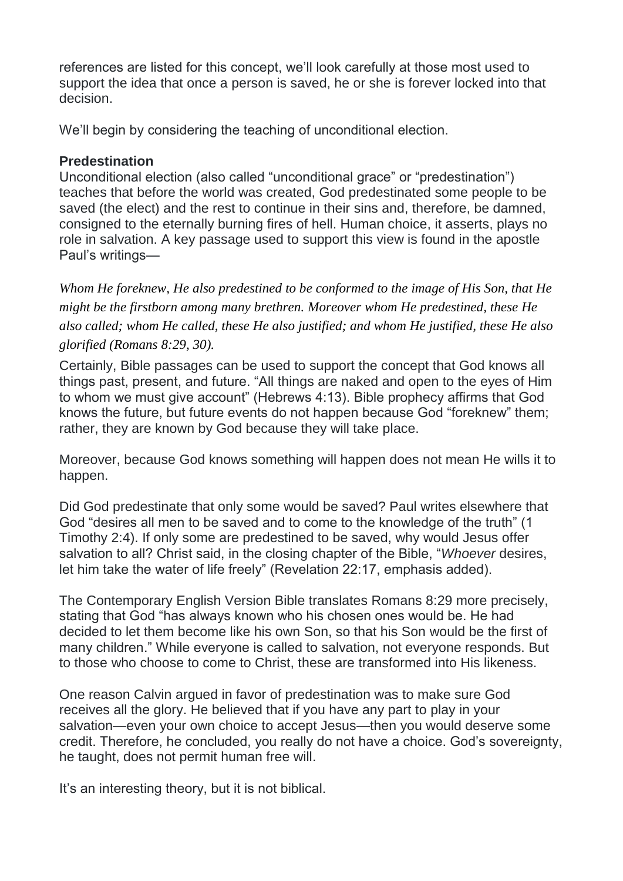references are listed for this concept, we'll look carefully at those most used to support the idea that once a person is saved, he or she is forever locked into that decision.

We'll begin by considering the teaching of unconditional election.

# **Predestination**

Unconditional election (also called "unconditional grace" or "predestination") teaches that before the world was created, God predestinated some people to be saved (the elect) and the rest to continue in their sins and, therefore, be damned, consigned to the eternally burning fires of hell. Human choice, it asserts, plays no role in salvation. A key passage used to support this view is found in the apostle Paul's writings—

*Whom He foreknew, He also predestined to be conformed to the image of His Son, that He might be the firstborn among many brethren. Moreover whom He predestined, these He also called; whom He called, these He also justified; and whom He justified, these He also glorified (Romans 8:29, 30).*

Certainly, Bible passages can be used to support the concept that God knows all things past, present, and future. "All things are naked and open to the eyes of Him to whom we must give account" (Hebrews 4:13). Bible prophecy affirms that God knows the future, but future events do not happen because God "foreknew" them; rather, they are known by God because they will take place.

Moreover, because God knows something will happen does not mean He wills it to happen.

Did God predestinate that only some would be saved? Paul writes elsewhere that God "desires all men to be saved and to come to the knowledge of the truth" (1 Timothy 2:4). If only some are predestined to be saved, why would Jesus offer salvation to all? Christ said, in the closing chapter of the Bible, "*Whoever* desires, let him take the water of life freely" (Revelation 22:17, emphasis added).

The Contemporary English Version Bible translates Romans 8:29 more precisely, stating that God "has always known who his chosen ones would be. He had decided to let them become like his own Son, so that his Son would be the first of many children." While everyone is called to salvation, not everyone responds. But to those who choose to come to Christ, these are transformed into His likeness.

One reason Calvin argued in favor of predestination was to make sure God receives all the glory. He believed that if you have any part to play in your salvation—even your own choice to accept Jesus—then you would deserve some credit. Therefore, he concluded, you really do not have a choice. God's sovereignty, he taught, does not permit human free will.

It's an interesting theory, but it is not biblical.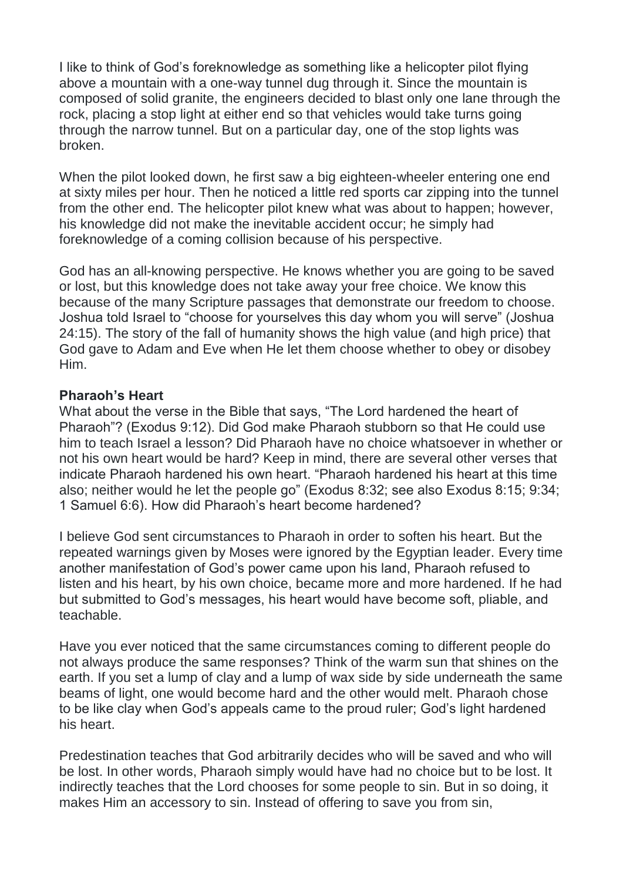I like to think of God's foreknowledge as something like a helicopter pilot flying above a mountain with a one-way tunnel dug through it. Since the mountain is composed of solid granite, the engineers decided to blast only one lane through the rock, placing a stop light at either end so that vehicles would take turns going through the narrow tunnel. But on a particular day, one of the stop lights was broken.

When the pilot looked down, he first saw a big eighteen-wheeler entering one end at sixty miles per hour. Then he noticed a little red sports car zipping into the tunnel from the other end. The helicopter pilot knew what was about to happen; however, his knowledge did not make the inevitable accident occur; he simply had foreknowledge of a coming collision because of his perspective.

God has an all-knowing perspective. He knows whether you are going to be saved or lost, but this knowledge does not take away your free choice. We know this because of the many Scripture passages that demonstrate our freedom to choose. Joshua told Israel to "choose for yourselves this day whom you will serve" (Joshua 24:15). The story of the fall of humanity shows the high value (and high price) that God gave to Adam and Eve when He let them choose whether to obey or disobey Him.

#### **Pharaoh's Heart**

What about the verse in the Bible that says, "The Lord hardened the heart of Pharaoh"? (Exodus 9:12). Did God make Pharaoh stubborn so that He could use him to teach Israel a lesson? Did Pharaoh have no choice whatsoever in whether or not his own heart would be hard? Keep in mind, there are several other verses that indicate Pharaoh hardened his own heart. "Pharaoh hardened his heart at this time also; neither would he let the people go" (Exodus 8:32; see also Exodus 8:15; 9:34; 1 Samuel 6:6). How did Pharaoh's heart become hardened?

I believe God sent circumstances to Pharaoh in order to soften his heart. But the repeated warnings given by Moses were ignored by the Egyptian leader. Every time another manifestation of God's power came upon his land, Pharaoh refused to listen and his heart, by his own choice, became more and more hardened. If he had but submitted to God's messages, his heart would have become soft, pliable, and teachable.

Have you ever noticed that the same circumstances coming to different people do not always produce the same responses? Think of the warm sun that shines on the earth. If you set a lump of clay and a lump of wax side by side underneath the same beams of light, one would become hard and the other would melt. Pharaoh chose to be like clay when God's appeals came to the proud ruler; God's light hardened his heart.

Predestination teaches that God arbitrarily decides who will be saved and who will be lost. In other words, Pharaoh simply would have had no choice but to be lost. It indirectly teaches that the Lord chooses for some people to sin. But in so doing, it makes Him an accessory to sin. Instead of offering to save you from sin,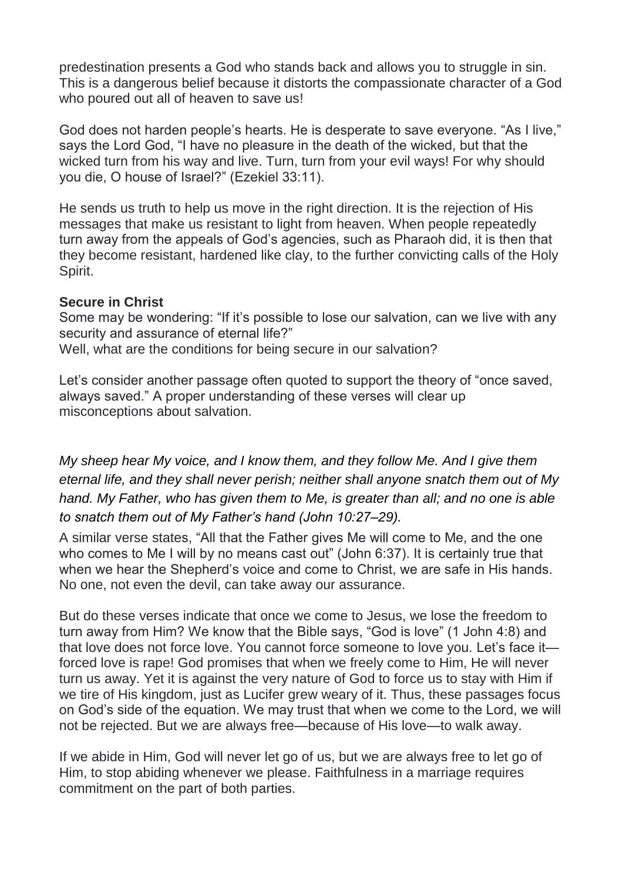predestination presents a God who stands back and allows you to struggle in sin. This is a dangerous belief because it distorts the compassionate character of a God who poured out all of heaven to save us!

God does not harden people's hearts. He is desperate to save everyone. "As I live," says the Lord God, "I have no pleasure in the death of the wicked, but that the wicked turn from his way and live. Turn, turn from your evil ways! For why should you die, O house of Israel?" (Ezekiel 33:11).

He sends us truth to help us move in the right direction. It is the rejection of His messages that make us resistant to light from heaven. When people repeatedly turn away from the appeals of God's agencies, such as Pharaoh did, it is then that they become resistant, hardened like clay, to the further convicting calls of the Holy Spirit.

## **Secure in Christ**

Some may be wondering: "If it's possible to lose our salvation, can we live with any security and assurance of eternal life?" Well, what are the conditions for being secure in our salvation?

Let's consider another passage often quoted to support the theory of "once saved, always saved." A proper understanding of these verses will clear up misconceptions about salvation.

*My sheep hear My voice, and I know them, and they follow Me. And I give them eternal life, and they shall never perish; neither shall anyone snatch them out of My hand. My Father, who has given them to Me, is greater than all; and no one is able to snatch them out of My Father's hand (John 10:27–29).*

A similar verse states, "All that the Father gives Me will come to Me, and the one who comes to Me I will by no means cast out" (John 6:37). It is certainly true that when we hear the Shepherd's voice and come to Christ, we are safe in His hands. No one, not even the devil, can take away our assurance.

But do these verses indicate that once we come to Jesus, we lose the freedom to turn away from Him? We know that the Bible says, "God is love" (1 John 4:8) and that love does not force love. You cannot force someone to love you. Let's face it forced love is rape! God promises that when we freely come to Him, He will never turn us away. Yet it is against the very nature of God to force us to stay with Him if we tire of His kingdom, just as Lucifer grew weary of it. Thus, these passages focus on God's side of the equation. We may trust that when we come to the Lord, we will not be rejected. But we are always free—because of His love—to walk away.

If we abide in Him, God will never let go of us, but we are always free to let go of Him, to stop abiding whenever we please. Faithfulness in a marriage requires commitment on the part of both parties.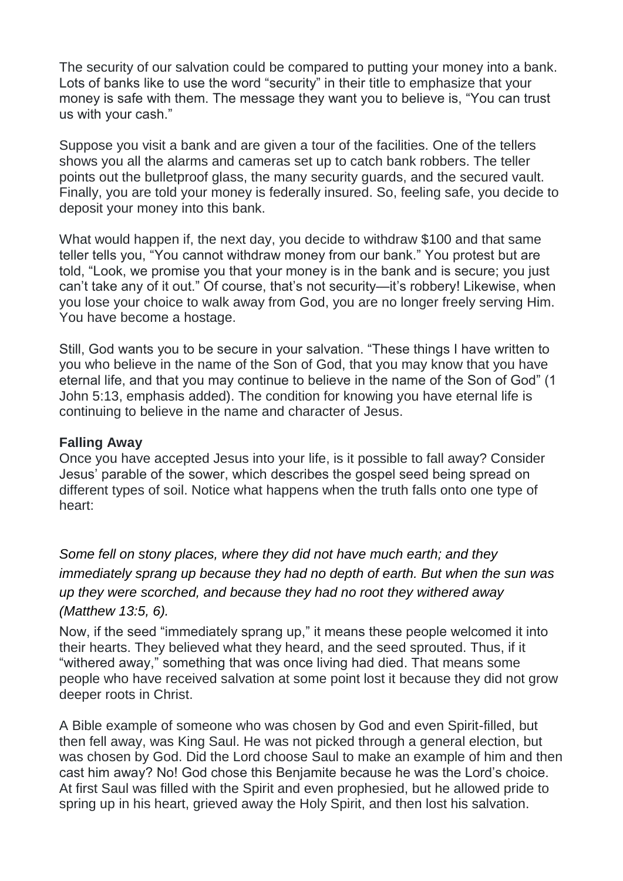The security of our salvation could be compared to putting your money into a bank. Lots of banks like to use the word "security" in their title to emphasize that your money is safe with them. The message they want you to believe is, "You can trust us with your cash."

Suppose you visit a bank and are given a tour of the facilities. One of the tellers shows you all the alarms and cameras set up to catch bank robbers. The teller points out the bulletproof glass, the many security guards, and the secured vault. Finally, you are told your money is federally insured. So, feeling safe, you decide to deposit your money into this bank.

What would happen if, the next day, you decide to withdraw \$100 and that same teller tells you, "You cannot withdraw money from our bank." You protest but are told, "Look, we promise you that your money is in the bank and is secure; you just can't take any of it out." Of course, that's not security—it's robbery! Likewise, when you lose your choice to walk away from God, you are no longer freely serving Him. You have become a hostage.

Still, God wants you to be secure in your salvation. "These things I have written to you who believe in the name of the Son of God, that you may know that you have eternal life, and that you may continue to believe in the name of the Son of God" (1 John 5:13, emphasis added). The condition for knowing you have eternal life is continuing to believe in the name and character of Jesus.

#### **Falling Away**

Once you have accepted Jesus into your life, is it possible to fall away? Consider Jesus' parable of the sower, which describes the gospel seed being spread on different types of soil. Notice what happens when the truth falls onto one type of heart:

*Some fell on stony places, where they did not have much earth; and they immediately sprang up because they had no depth of earth. But when the sun was up they were scorched, and because they had no root they withered away (Matthew 13:5, 6).*

Now, if the seed "immediately sprang up," it means these people welcomed it into their hearts. They believed what they heard, and the seed sprouted. Thus, if it "withered away," something that was once living had died. That means some people who have received salvation at some point lost it because they did not grow deeper roots in Christ.

A Bible example of someone who was chosen by God and even Spirit-filled, but then fell away, was King Saul. He was not picked through a general election, but was chosen by God. Did the Lord choose Saul to make an example of him and then cast him away? No! God chose this Benjamite because he was the Lord's choice. At first Saul was filled with the Spirit and even prophesied, but he allowed pride to spring up in his heart, grieved away the Holy Spirit, and then lost his salvation.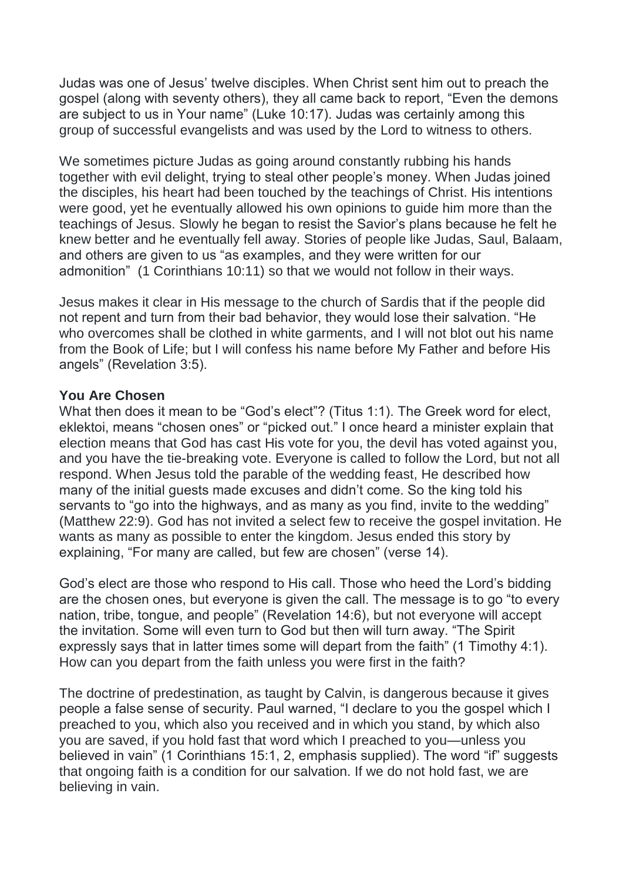Judas was one of Jesus' twelve disciples. When Christ sent him out to preach the gospel (along with seventy others), they all came back to report, "Even the demons are subject to us in Your name" (Luke 10:17). Judas was certainly among this group of successful evangelists and was used by the Lord to witness to others.

We sometimes picture Judas as going around constantly rubbing his hands together with evil delight, trying to steal other people's money. When Judas joined the disciples, his heart had been touched by the teachings of Christ. His intentions were good, yet he eventually allowed his own opinions to guide him more than the teachings of Jesus. Slowly he began to resist the Savior's plans because he felt he knew better and he eventually fell away. Stories of people like Judas, Saul, Balaam, and others are given to us "as examples, and they were written for our admonition" (1 Corinthians 10:11) so that we would not follow in their ways.

Jesus makes it clear in His message to the church of Sardis that if the people did not repent and turn from their bad behavior, they would lose their salvation. "He who overcomes shall be clothed in white garments, and I will not blot out his name from the Book of Life; but I will confess his name before My Father and before His angels" (Revelation 3:5).

## **You Are Chosen**

What then does it mean to be "God's elect"? (Titus 1:1). The Greek word for elect, eklektoi, means "chosen ones" or "picked out." I once heard a minister explain that election means that God has cast His vote for you, the devil has voted against you, and you have the tie-breaking vote. Everyone is called to follow the Lord, but not all respond. When Jesus told the parable of the wedding feast, He described how many of the initial guests made excuses and didn't come. So the king told his servants to "go into the highways, and as many as you find, invite to the wedding" (Matthew 22:9). God has not invited a select few to receive the gospel invitation. He wants as many as possible to enter the kingdom. Jesus ended this story by explaining, "For many are called, but few are chosen" (verse 14).

God's elect are those who respond to His call. Those who heed the Lord's bidding are the chosen ones, but everyone is given the call. The message is to go "to every nation, tribe, tongue, and people" (Revelation 14:6), but not everyone will accept the invitation. Some will even turn to God but then will turn away. "The Spirit expressly says that in latter times some will depart from the faith" (1 Timothy 4:1). How can you depart from the faith unless you were first in the faith?

The doctrine of predestination, as taught by Calvin, is dangerous because it gives people a false sense of security. Paul warned, "I declare to you the gospel which I preached to you, which also you received and in which you stand, by which also you are saved, if you hold fast that word which I preached to you—unless you believed in vain" (1 Corinthians 15:1, 2, emphasis supplied). The word "if" suggests that ongoing faith is a condition for our salvation. If we do not hold fast, we are believing in vain.